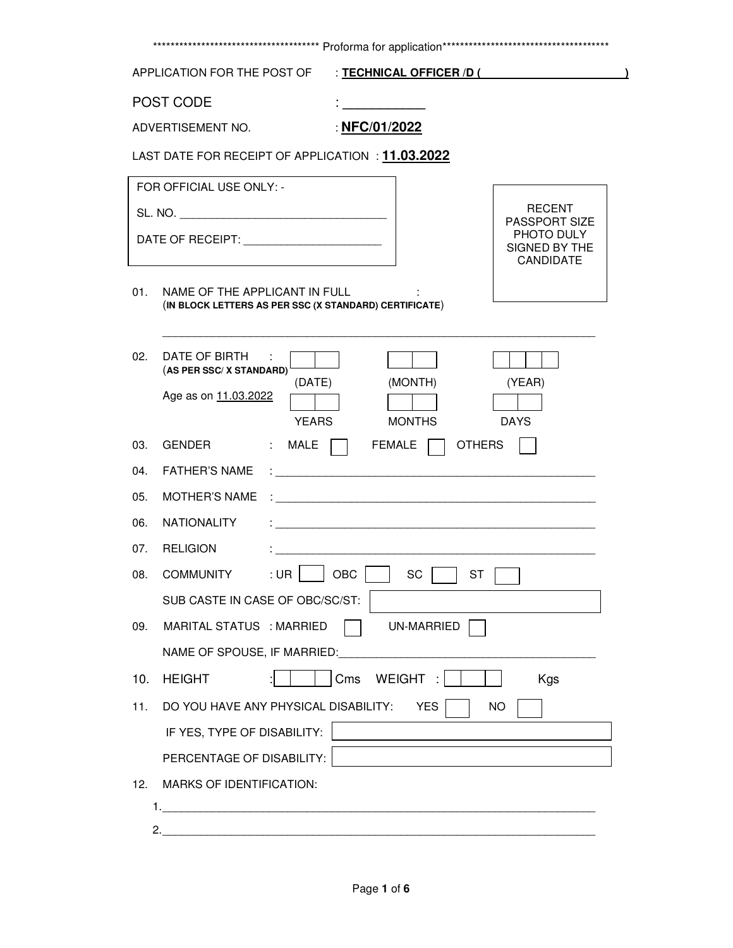|     | APPLICATION FOR THE POST OF                                                                                                                                                                                                          | : TECHNICAL OFFICER /D (                                                                                        |
|-----|--------------------------------------------------------------------------------------------------------------------------------------------------------------------------------------------------------------------------------------|-----------------------------------------------------------------------------------------------------------------|
|     | POST CODE                                                                                                                                                                                                                            |                                                                                                                 |
|     | ADVERTISEMENT NO.                                                                                                                                                                                                                    | : NFC/01/2022                                                                                                   |
|     | LAST DATE FOR RECEIPT OF APPLICATION : 11.03.2022                                                                                                                                                                                    |                                                                                                                 |
|     | FOR OFFICIAL USE ONLY: -                                                                                                                                                                                                             |                                                                                                                 |
|     |                                                                                                                                                                                                                                      | RECENT                                                                                                          |
|     | DATE OF RECEIPT: <b>With the Second Second Second Second Second Second Second Second Second Second Second Second Second Second Second Second Second Second Second Second Second Second Second Second Second Second Second Second</b> | PASSPORT SIZE<br>PHOTO DULY<br>SIGNED BY THE<br>CANDIDATE                                                       |
| 01. | NAME OF THE APPLICANT IN FULL<br>(IN BLOCK LETTERS AS PER SSC (X STANDARD) CERTIFICATE)                                                                                                                                              |                                                                                                                 |
| 02. | DATE OF BIRTH<br>(AS PER SSC/X STANDARD)                                                                                                                                                                                             |                                                                                                                 |
|     | (DATE)<br>Age as on 11.03.2022<br><b>YEARS</b>                                                                                                                                                                                       | (MONTH)<br>(YEAR)<br><b>MONTHS</b><br><b>DAYS</b>                                                               |
| 03. | <b>GENDER</b><br>: MALE                                                                                                                                                                                                              | <b>OTHERS</b><br>FEMALE                                                                                         |
| 04. | <b>FATHER'S NAME</b>                                                                                                                                                                                                                 |                                                                                                                 |
| 05. | <b>MOTHER'S NAME</b>                                                                                                                                                                                                                 | the contract of the contract of the contract of the contract of the contract of the contract of the contract of |
| 06. | <b>NATIONALITY</b>                                                                                                                                                                                                                   |                                                                                                                 |
| 07. | <b>RELIGION</b>                                                                                                                                                                                                                      | <u> 1980 - John Stein, Amerikaansk politiker (</u> † 1920)                                                      |
| 08. |                                                                                                                                                                                                                                      | COMMUNITY : UR OBC SC ST ST                                                                                     |
|     | SUB CASTE IN CASE OF OBC/SC/ST:                                                                                                                                                                                                      |                                                                                                                 |
| 09. | MARITAL STATUS : MARRIED                                                                                                                                                                                                             | UN-MARRIED                                                                                                      |
|     | NAME OF SPOUSE, IF MARRIED:                                                                                                                                                                                                          |                                                                                                                 |
| 10. | <b>HEIGHT</b>                                                                                                                                                                                                                        | WEIGHT:<br>Cms<br><b>Kgs</b>                                                                                    |
| 11. | DO YOU HAVE ANY PHYSICAL DISABILITY:                                                                                                                                                                                                 | <b>YES</b><br>NO.                                                                                               |
|     | IF YES, TYPE OF DISABILITY:                                                                                                                                                                                                          |                                                                                                                 |
|     | PERCENTAGE OF DISABILITY:                                                                                                                                                                                                            |                                                                                                                 |
|     |                                                                                                                                                                                                                                      |                                                                                                                 |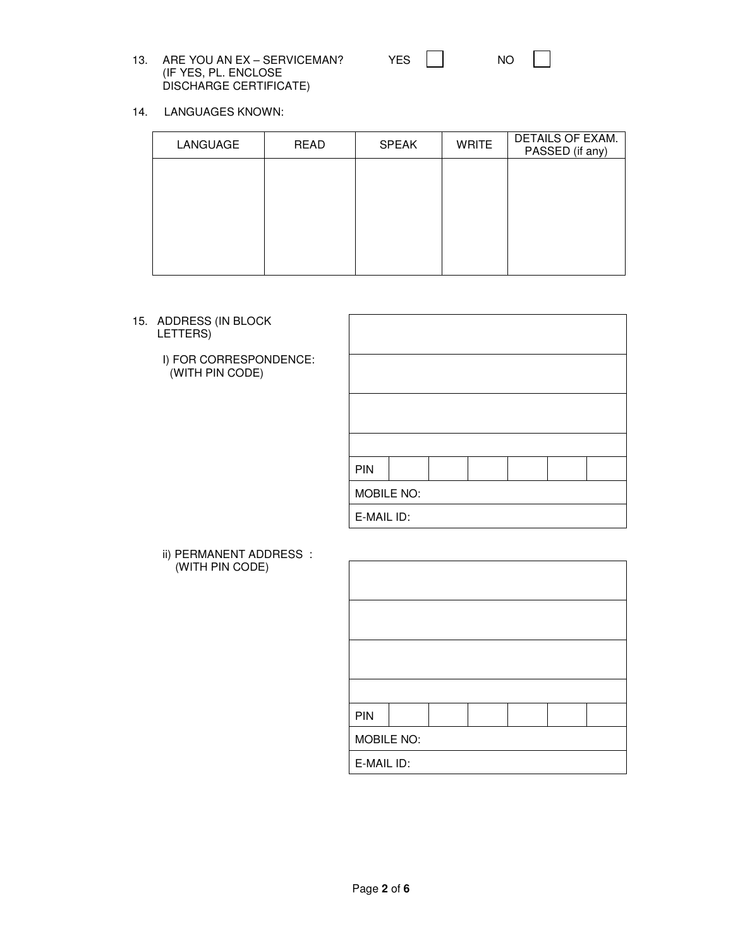13. ARE YOU AN EX - SERVICEMAN? (IF YES, PL. ENCLOSE DISCHARGE CERTIFICATE)

| YES. | NΟ |
|------|----|
|      |    |

14. LANGUAGES KNOWN:

| LANGUAGE | <b>READ</b> | <b>SPEAK</b> | <b>WRITE</b> | DETAILS OF EXAM.<br>PASSED (if any) |
|----------|-------------|--------------|--------------|-------------------------------------|
|          |             |              |              |                                     |
|          |             |              |              |                                     |
|          |             |              |              |                                     |
|          |             |              |              |                                     |
|          |             |              |              |                                     |

15. ADDRESS (IN BLOCK LETTERS)

> I) FOR CORRESPONDENCE: (WITH PIN CODE)

| PIN        |  |  |  |  |  |  |  |
|------------|--|--|--|--|--|--|--|
| MOBILE NO: |  |  |  |  |  |  |  |
| E-MAIL ID: |  |  |  |  |  |  |  |

 ii) PERMANENT ADDRESS : (WITH PIN CODE)

| PIN        |  |  |  |  |  |  |  |
|------------|--|--|--|--|--|--|--|
| MOBILE NO: |  |  |  |  |  |  |  |
| E-MAIL ID: |  |  |  |  |  |  |  |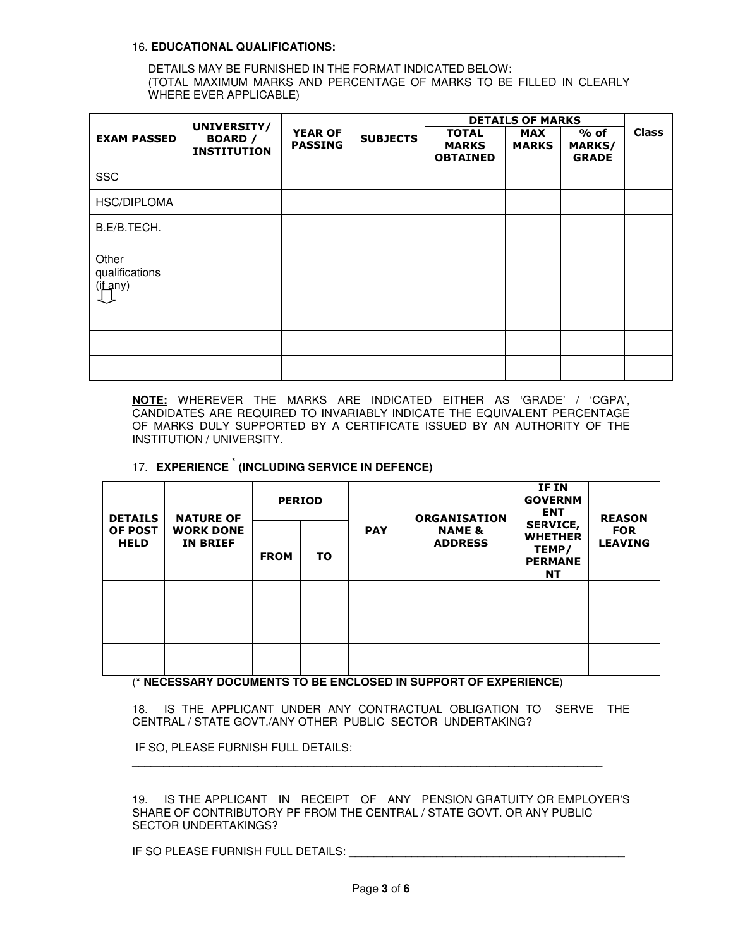## 16. **EDUCATIONAL QUALIFICATIONS:**

DETAILS MAY BE FURNISHED IN THE FORMAT INDICATED BELOW: (TOTAL MAXIMUM MARKS AND PERCENTAGE OF MARKS TO BE FILLED IN CLEARLY WHERE EVER APPLICABLE)

|                                     | UNIVERSITY/                          |                                  |                 | <b>DETAILS OF MARKS</b>                         |                            |                                  |              |
|-------------------------------------|--------------------------------------|----------------------------------|-----------------|-------------------------------------------------|----------------------------|----------------------------------|--------------|
| <b>EXAM PASSED</b>                  | <b>BOARD</b> /<br><b>INSTITUTION</b> | <b>YEAR OF</b><br><b>PASSING</b> | <b>SUBJECTS</b> | <b>TOTAL</b><br><b>MARKS</b><br><b>OBTAINED</b> | <b>MAX</b><br><b>MARKS</b> | $%$ of<br>MARKS/<br><b>GRADE</b> | <b>Class</b> |
| <b>SSC</b>                          |                                      |                                  |                 |                                                 |                            |                                  |              |
| HSC/DIPLOMA                         |                                      |                                  |                 |                                                 |                            |                                  |              |
| B.E/B.TECH.                         |                                      |                                  |                 |                                                 |                            |                                  |              |
| Other<br>qualifications<br>(if any) |                                      |                                  |                 |                                                 |                            |                                  |              |
|                                     |                                      |                                  |                 |                                                 |                            |                                  |              |
|                                     |                                      |                                  |                 |                                                 |                            |                                  |              |
|                                     |                                      |                                  |                 |                                                 |                            |                                  |              |

**NOTE:** WHEREVER THE MARKS ARE INDICATED EITHER AS 'GRADE' / 'CGPA', CANDIDATES ARE REQUIRED TO INVARIABLY INDICATE THE EQUIVALENT PERCENTAGE OF MARKS DULY SUPPORTED BY A CERTIFICATE ISSUED BY AN AUTHORITY OF THE INSTITUTION / UNIVERSITY.

## 17. **EXPERIENCE \* (INCLUDING SERVICE IN DEFENCE)**

| <b>DETAILS</b><br><b>OF POST</b><br><b>HELD</b> | <b>NATURE OF</b>                    |             | <b>PERIOD</b> |            | <b>ORGANISATION</b><br><b>NAME &amp;</b><br><b>ADDRESS</b> | IF IN<br><b>GOVERNM</b><br><b>ENT</b>                                     | <b>REASON</b>                |
|-------------------------------------------------|-------------------------------------|-------------|---------------|------------|------------------------------------------------------------|---------------------------------------------------------------------------|------------------------------|
|                                                 | <b>WORK DONE</b><br><b>IN BRIEF</b> | <b>FROM</b> | TO            | <b>PAY</b> |                                                            | <b>SERVICE,</b><br><b>WHETHER</b><br>TEMP/<br><b>PERMANE</b><br><b>NT</b> | <b>FOR</b><br><b>LEAVING</b> |
|                                                 |                                     |             |               |            |                                                            |                                                                           |                              |
|                                                 |                                     |             |               |            |                                                            |                                                                           |                              |
|                                                 |                                     |             |               |            |                                                            |                                                                           |                              |

(**\* NECESSARY DOCUMENTS TO BE ENCLOSED IN SUPPORT OF EXPERIENCE**)

18. IS THE APPLICANT UNDER ANY CONTRACTUAL OBLIGATION TO SERVE THE CENTRAL / STATE GOVT./ANY OTHER PUBLIC SECTOR UNDERTAKING?

\_\_\_\_\_\_\_\_\_\_\_\_\_\_\_\_\_\_\_\_\_\_\_\_\_\_\_\_\_\_\_\_\_\_\_\_\_\_\_\_\_\_\_\_\_\_\_\_\_\_\_\_\_\_\_\_\_\_\_\_\_\_\_\_\_\_\_\_\_\_\_\_\_\_\_

IF SO, PLEASE FURNISH FULL DETAILS:

19. IS THE APPLICANT IN RECEIPT OF ANY PENSION GRATUITY OR EMPLOYER'S SHARE OF CONTRIBUTORY PF FROM THE CENTRAL / STATE GOVT. OR ANY PUBLIC SECTOR UNDERTAKINGS?

IF SO PLEASE FURNISH FULL DETAILS: \_\_\_\_\_\_\_\_\_\_\_\_\_\_\_\_\_\_\_\_\_\_\_\_\_\_\_\_\_\_\_\_\_\_\_\_\_\_\_\_\_\_\_\_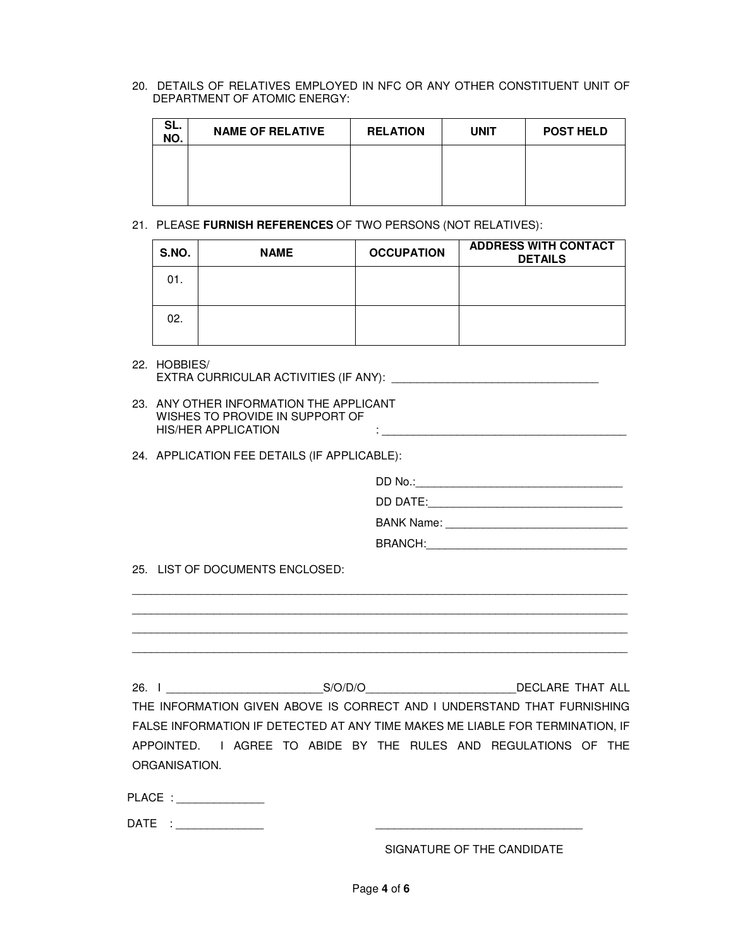20. DETAILS OF RELATIVES EMPLOYED IN NFC OR ANY OTHER CONSTITUENT UNIT OF DEPARTMENT OF ATOMIC ENERGY:

| SL.<br>NO. | <b>NAME OF RELATIVE</b> | <b>RELATION</b> | <b>UNIT</b> | <b>POST HELD</b> |
|------------|-------------------------|-----------------|-------------|------------------|
|            |                         |                 |             |                  |
|            |                         |                 |             |                  |
|            |                         |                 |             |                  |

21. PLEASE **FURNISH REFERENCES** OF TWO PERSONS (NOT RELATIVES):

| S.NO. | <b>NAME</b> | <b>OCCUPATION</b> | <b>ADDRESS WITH CONTACT</b><br><b>DETAILS</b> |
|-------|-------------|-------------------|-----------------------------------------------|
| 01.   |             |                   |                                               |
| 02.   |             |                   |                                               |

- 22. HOBBIES/ EXTRA CURRICULAR ACTIVITIES (IF ANY): \_\_\_\_\_\_\_\_\_\_\_\_\_\_\_\_\_\_\_\_\_\_\_\_\_\_\_\_\_\_\_\_\_
- 23. ANY OTHER INFORMATION THE APPLICANT WISHES TO PROVIDE IN SUPPORT OF HIS/HER APPLICATION  $:$
- 24. APPLICATION FEE DETAILS (IF APPLICABLE):

| 25. LIST OF DOCUMENTS ENCLOSED: |                                                                                                                                                          |
|---------------------------------|----------------------------------------------------------------------------------------------------------------------------------------------------------|
|                                 | 26. I S/O/D/O DECLARE THAT ALL                                                                                                                           |
|                                 | THE INFORMATION GIVEN ABOVE IS CORRECT AND I UNDERSTAND THAT FURNISHING<br>FALSE INFORMATION IF DETECTED AT ANY TIME MAKES ME LIABLE FOR TERMINATION, IF |
| ORGANISATION.                   | APPOINTED. I AGREE TO ABIDE BY THE RULES AND REGULATIONS OF THE                                                                                          |
| PLACE : ________________        |                                                                                                                                                          |
| DATE : _______________          |                                                                                                                                                          |
|                                 | SIGNATURE OF THE CANDIDATE                                                                                                                               |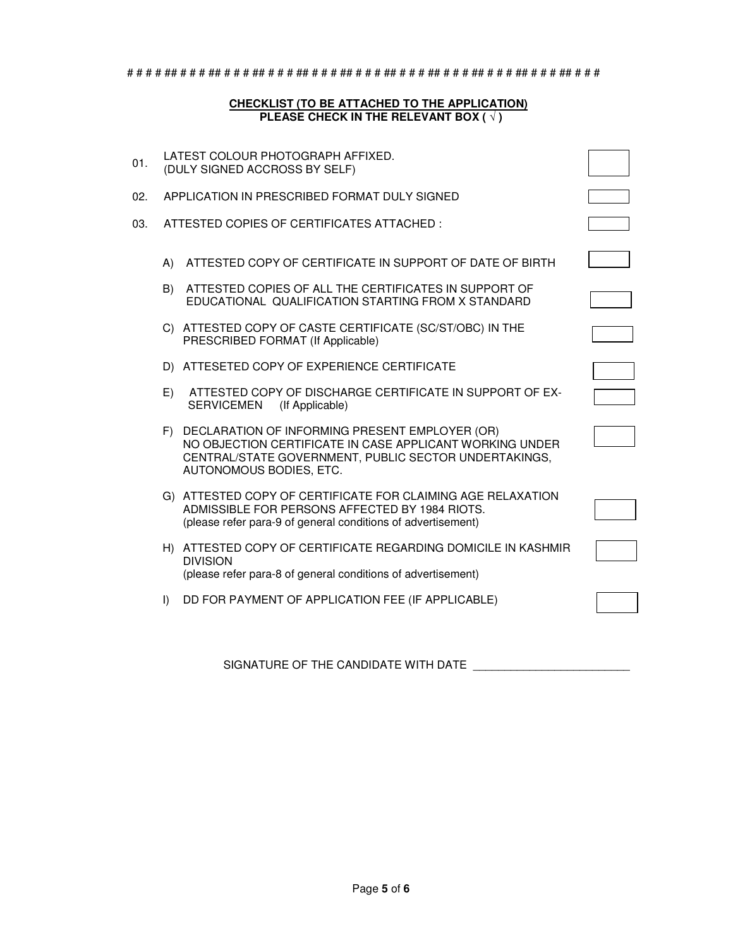# # # # ## # # # ## # # # ## # # # ## # # # ## # # # ## # # # ## # # # ## # # # ## # # # ## # # #

## **CHECKLIST (TO BE ATTACHED TO THE APPLICATION) PLEASE CHECK IN THE RELEVANT BOX ( √ )**

| 01. |          | LATEST COLOUR PHOTOGRAPH AFFIXED.<br>(DULY SIGNED ACCROSS BY SELF)                                                                                                                                |  |
|-----|----------|---------------------------------------------------------------------------------------------------------------------------------------------------------------------------------------------------|--|
| 02. |          | APPLICATION IN PRESCRIBED FORMAT DULY SIGNED                                                                                                                                                      |  |
| 03. |          | ATTESTED COPIES OF CERTIFICATES ATTACHED:                                                                                                                                                         |  |
|     | A)<br>B) | ATTESTED COPY OF CERTIFICATE IN SUPPORT OF DATE OF BIRTH<br>ATTESTED COPIES OF ALL THE CERTIFICATES IN SUPPORT OF<br>EDUCATIONAL QUALIFICATION STARTING FROM X STANDARD                           |  |
|     |          | C) ATTESTED COPY OF CASTE CERTIFICATE (SC/ST/OBC) IN THE<br>PRESCRIBED FORMAT (If Applicable)                                                                                                     |  |
|     | D)       | ATTESETED COPY OF EXPERIENCE CERTIFICATE                                                                                                                                                          |  |
|     | E)       | ATTESTED COPY OF DISCHARGE CERTIFICATE IN SUPPORT OF EX-<br><b>SERVICEMEN</b><br>(If Applicable)                                                                                                  |  |
|     |          | F) DECLARATION OF INFORMING PRESENT EMPLOYER (OR)<br>NO OBJECTION CERTIFICATE IN CASE APPLICANT WORKING UNDER<br>CENTRAL/STATE GOVERNMENT, PUBLIC SECTOR UNDERTAKINGS,<br>AUTONOMOUS BODIES, ETC. |  |
|     |          | G) ATTESTED COPY OF CERTIFICATE FOR CLAIMING AGE RELAXATION<br>ADMISSIBLE FOR PERSONS AFFECTED BY 1984 RIOTS.<br>(please refer para-9 of general conditions of advertisement)                     |  |
|     |          | H) ATTESTED COPY OF CERTIFICATE REGARDING DOMICILE IN KASHMIR<br><b>DIVISION</b><br>(please refer para-8 of general conditions of advertisement)                                                  |  |
|     | $\vert$  | DD FOR PAYMENT OF APPLICATION FEE (IF APPLICABLE)                                                                                                                                                 |  |
|     |          |                                                                                                                                                                                                   |  |

SIGNATURE OF THE CANDIDATE WITH DATE \_\_\_\_\_\_\_\_\_\_\_\_\_\_\_\_\_\_\_\_\_\_\_\_\_